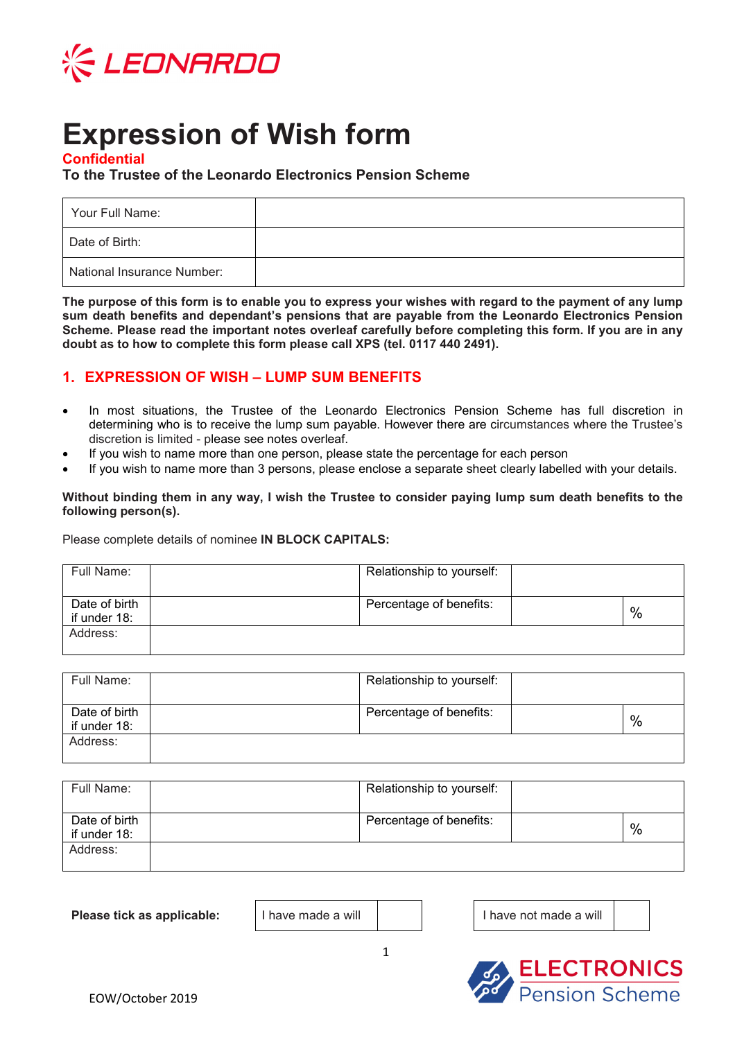

# **Expression of Wish form**

## **Confidential**

## **To the Trustee of the Leonardo Electronics Pension Scheme**

| Your Full Name:            |  |
|----------------------------|--|
| Date of Birth:             |  |
| National Insurance Number: |  |

**The purpose of this form is to enable you to express your wishes with regard to the payment of any lump sum death benefits and dependant's pensions that are payable from the Leonardo Electronics Pension Scheme. Please read the important notes overleaf carefully before completing this form. If you are in any doubt as to how to complete this form please call XPS (tel. 0117 440 2491).** 

## **1. EXPRESSION OF WISH – LUMP SUM BENEFITS**

- In most situations, the Trustee of the Leonardo Electronics Pension Scheme has full discretion in determining who is to receive the lump sum payable. However there are circumstances where the Trustee's discretion is limited - please see notes overleaf.
- If you wish to name more than one person, please state the percentage for each person
- If you wish to name more than 3 persons, please enclose a separate sheet clearly labelled with your details.

#### **Without binding them in any way, I wish the Trustee to consider paying lump sum death benefits to the following person(s).**

Please complete details of nominee **IN BLOCK CAPITALS:** 

| Full Name:                    | Relationship to yourself: |               |
|-------------------------------|---------------------------|---------------|
| Date of birth<br>if under 18: | Percentage of benefits:   | $\frac{0}{0}$ |
| Address:                      |                           |               |

| Full Name:                    | Relationship to yourself: |   |
|-------------------------------|---------------------------|---|
| Date of birth<br>if under 18: | Percentage of benefits:   | % |
| Address:                      |                           |   |

| Full Name:                    | Relationship to yourself: |   |
|-------------------------------|---------------------------|---|
| Date of birth<br>if under 18: | Percentage of benefits:   | % |
| Address:                      |                           |   |

**Please tick as applicable:** | I have made a will | | | | | | | | | | have not made a will

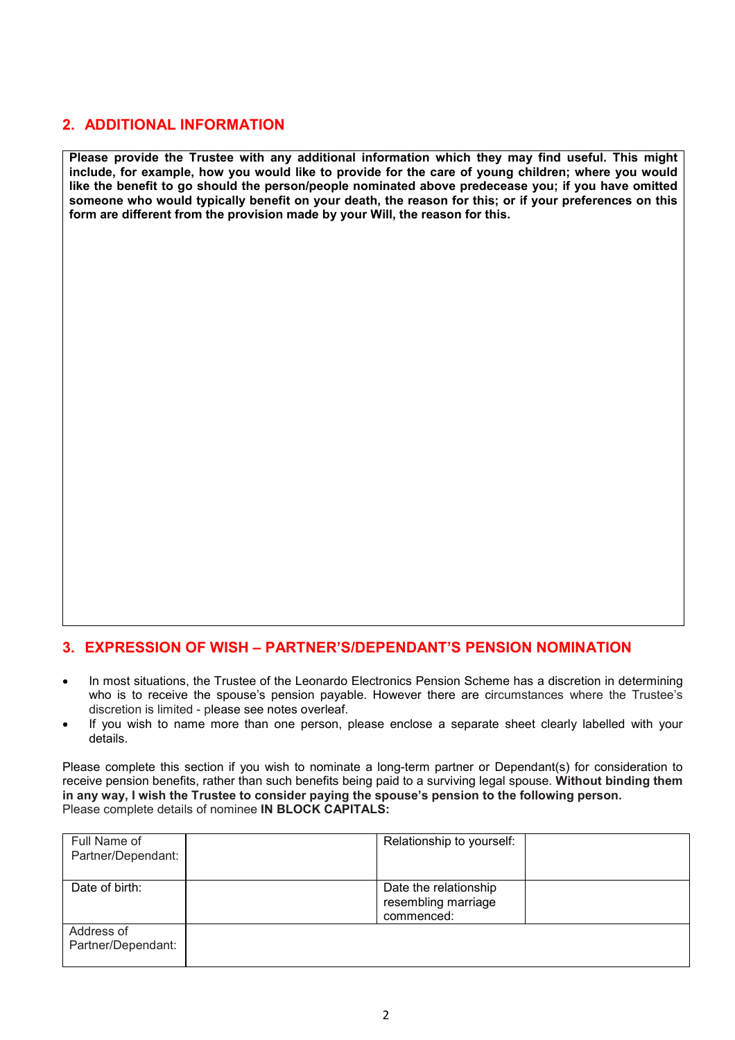# **2. ADDITIONAL INFORMATION**

**Please provide the Trustee with any additional information which they may find useful. This might include, for example, how you would like to provide for the care of young children; where you would like the benefit to go should the person/people nominated above predecease you; if you have omitted someone who would typically benefit on your death, the reason for this; or if your preferences on this form are different from the provision made by your Will, the reason for this.** 

## **3. EXPRESSION OF WISH – PARTNER'S/DEPENDANT'S PENSION NOMINATION**

- In most situations, the Trustee of the Leonardo Electronics Pension Scheme has a discretion in determining who is to receive the spouse's pension payable. However there are circumstances where the Trustee's discretion is limited - please see notes overleaf.
- If you wish to name more than one person, please enclose a separate sheet clearly labelled with your details.

Please complete this section if you wish to nominate a long-term partner or Dependant(s) for consideration to receive pension benefits, rather than such benefits being paid to a surviving legal spouse. **Without binding them in any way, I wish the Trustee to consider paying the spouse's pension to the following person.**  Please complete details of nominee **IN BLOCK CAPITALS:** 

| Full Name of<br>Partner/Dependant: | Relationship to yourself:                                  |
|------------------------------------|------------------------------------------------------------|
| Date of birth:                     | Date the relationship<br>resembling marriage<br>commenced: |
| Address of<br>Partner/Dependant:   |                                                            |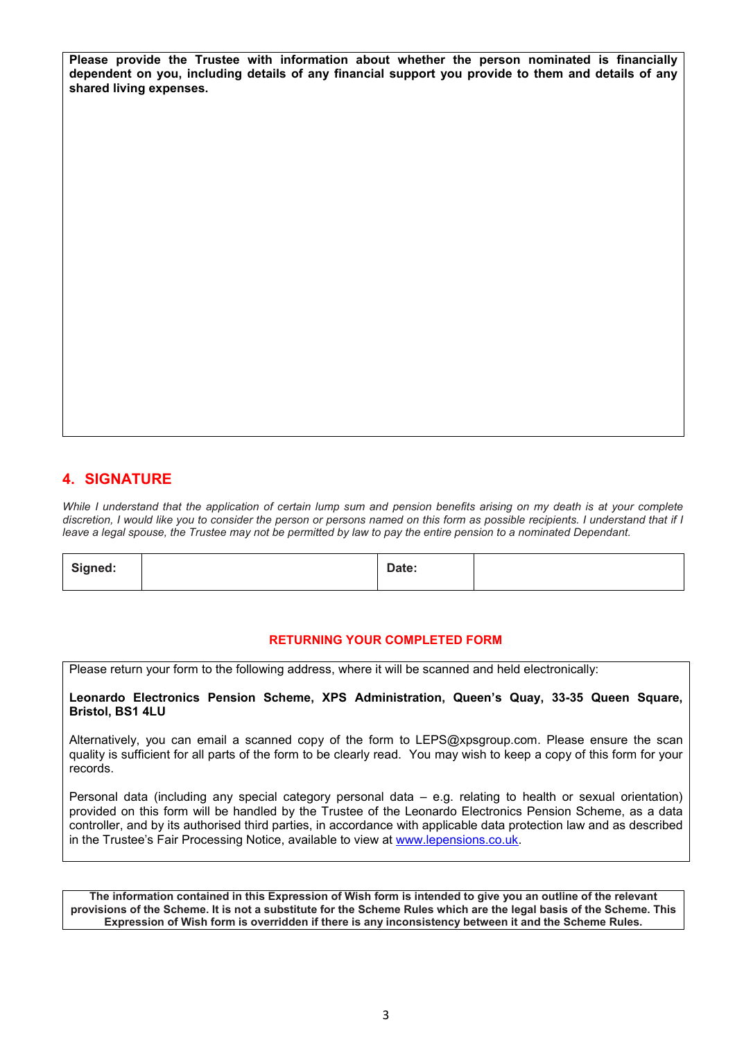**Please provide the Trustee with information about whether the person nominated is financially dependent on you, including details of any financial support you provide to them and details of any shared living expenses.** 

# **4. SIGNATURE**

*While I understand that the application of certain lump sum and pension benefits arising on my death is at your complete discretion, I would like you to consider the person or persons named on this form as possible recipients. I understand that if I leave a legal spouse, the Trustee may not be permitted by law to pay the entire pension to a nominated Dependant.* 

| Signed: | Date: |  |
|---------|-------|--|
|         |       |  |

#### **RETURNING YOUR COMPLETED FORM**

Please return your form to the following address, where it will be scanned and held electronically:

**Leonardo Electronics Pension Scheme, XPS Administration, Queen's Quay, 33-35 Queen Square, Bristol, BS1 4LU** 

Alternatively, you can email a scanned copy of the form to LEPS@xpsgroup.com. Please ensure the scan quality is sufficient for all parts of the form to be clearly read. You may wish to keep a copy of this form for your records.

Personal data (including any special category personal data – e.g. relating to health or sexual orientation) provided on this form will be handled by the Trustee of the Leonardo Electronics Pension Scheme, as a data controller, and by its authorised third parties, in accordance with applicable data protection law and as described in the Trustee's Fair Processing Notice, available to view at www.lepensions.co.uk.

**The information contained in this Expression of Wish form is intended to give you an outline of the relevant provisions of the Scheme. It is not a substitute for the Scheme Rules which are the legal basis of the Scheme. This Expression of Wish form is overridden if there is any inconsistency between it and the Scheme Rules.**